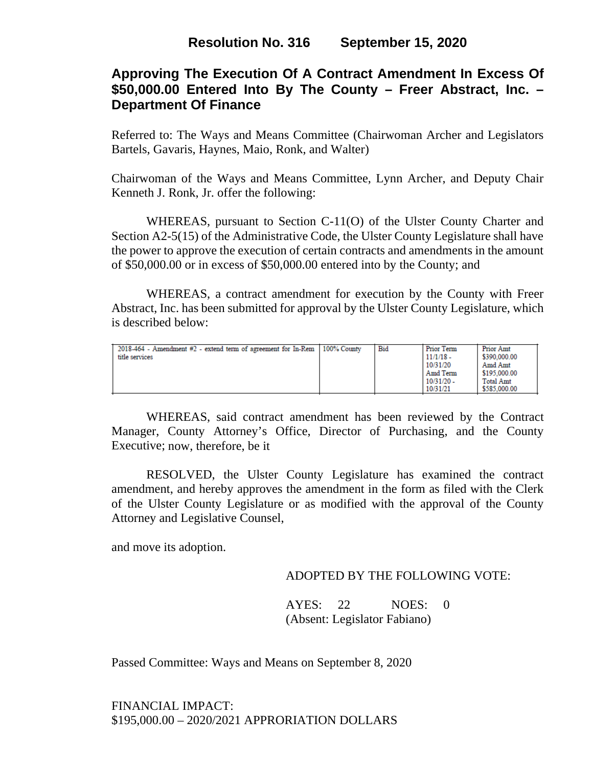# **Approving The Execution Of A Contract Amendment In Excess Of \$50,000.00 Entered Into By The County – Freer Abstract, Inc. – Department Of Finance**

Referred to: The Ways and Means Committee (Chairwoman Archer and Legislators Bartels, Gavaris, Haynes, Maio, Ronk, and Walter)

Chairwoman of the Ways and Means Committee, Lynn Archer, and Deputy Chair Kenneth J. Ronk, Jr. offer the following:

WHEREAS, pursuant to Section C-11(O) of the Ulster County Charter and Section A2-5(15) of the Administrative Code, the Ulster County Legislature shall have the power to approve the execution of certain contracts and amendments in the amount of \$50,000.00 or in excess of \$50,000.00 entered into by the County; and

WHEREAS, a contract amendment for execution by the County with Freer Abstract, Inc. has been submitted for approval by the Ulster County Legislature, which is described below:

| 2018-464 - Amendment #2 - extend term of agreement for In-Rem   100% County<br>title services |  | Bid | <b>Prior Term</b><br>$11/1/18$ -<br>10/31/20<br>Amd Term<br>$10/31/20 -$<br>10/31/21 | <b>Prior Amt</b><br>\$390,000.00<br>Amd Amt<br>\$195,000.00<br><b>Total Amt</b><br>\$585,000.00 |
|-----------------------------------------------------------------------------------------------|--|-----|--------------------------------------------------------------------------------------|-------------------------------------------------------------------------------------------------|
|-----------------------------------------------------------------------------------------------|--|-----|--------------------------------------------------------------------------------------|-------------------------------------------------------------------------------------------------|

WHEREAS, said contract amendment has been reviewed by the Contract Manager, County Attorney's Office, Director of Purchasing, and the County Executive; now, therefore, be it

RESOLVED, the Ulster County Legislature has examined the contract amendment, and hereby approves the amendment in the form as filed with the Clerk of the Ulster County Legislature or as modified with the approval of the County Attorney and Legislative Counsel,

and move its adoption.

### ADOPTED BY THE FOLLOWING VOTE:

AYES: 22 NOES: 0 (Absent: Legislator Fabiano)

Passed Committee: Ways and Means on September 8, 2020

FINANCIAL IMPACT: \$195,000.00 – 2020/2021 APPRORIATION DOLLARS